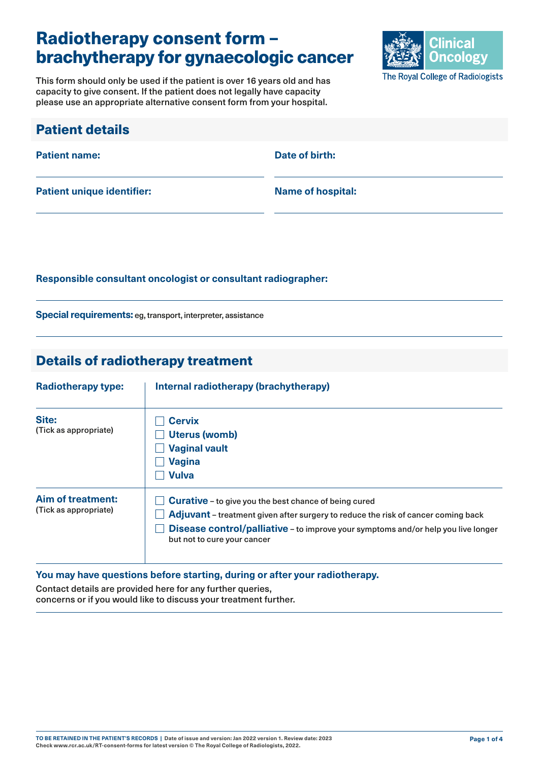# Radiotherapy consent form – brachytherapy for gynaecologic cancer

This form should only be used if the patient is over 16 years old and has capacity to give consent. If the patient does not legally have capacity please use an appropriate alternative consent form from your hospital.



| <b>Patient details</b>            |                          |
|-----------------------------------|--------------------------|
| <b>Patient name:</b>              | Date of birth:           |
| <b>Patient unique identifier:</b> | <b>Name of hospital:</b> |

#### **Responsible consultant oncologist or consultant radiographer:**

**Special requirements:** eg, transport, interpreter, assistance

### Details of radiotherapy treatment

| <b>Radiotherapy type:</b>                         | Internal radiotherapy (brachytherapy)                                                                                                                                                                                                                                 |  |
|---------------------------------------------------|-----------------------------------------------------------------------------------------------------------------------------------------------------------------------------------------------------------------------------------------------------------------------|--|
| Site:<br>(Tick as appropriate)                    | <b>Cervix</b><br>Uterus (womb)<br><b>Vaginal vault</b><br><b>Vagina</b><br><b>Vulva</b>                                                                                                                                                                               |  |
| <b>Aim of treatment:</b><br>(Tick as appropriate) | <b>Curative</b> - to give you the best chance of being cured<br>Adjuvant - treatment given after surgery to reduce the risk of cancer coming back<br>Disease control/palliative - to improve your symptoms and/or help you live longer<br>but not to cure your cancer |  |

#### **You may have questions before starting, during or after your radiotherapy.**

Contact details are provided here for any further queries, concerns or if you would like to discuss your treatment further.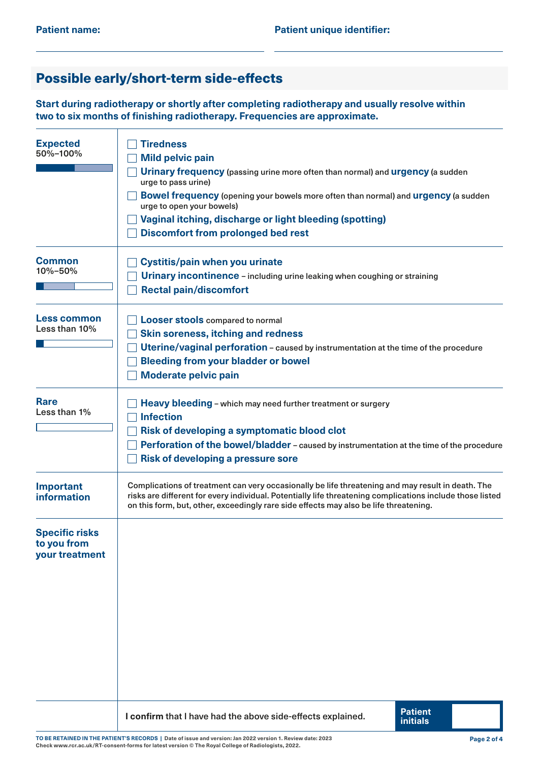## Possible early/short-term side-effects

**Start during radiotherapy or shortly after completing radiotherapy and usually resolve within two to six months of finishing radiotherapy. Frequencies are approximate.**

| <b>Expected</b><br>50%-100%                            | <b>Tiredness</b><br><b>Mild pelvic pain</b><br>Urinary frequency (passing urine more often than normal) and urgency (a sudden<br>urge to pass urine)<br>Bowel frequency (opening your bowels more often than normal) and urgency (a sudden<br>urge to open your bowels)<br>Vaginal itching, discharge or light bleeding (spotting)<br><b>Discomfort from prolonged bed rest</b> |  |  |  |  |
|--------------------------------------------------------|---------------------------------------------------------------------------------------------------------------------------------------------------------------------------------------------------------------------------------------------------------------------------------------------------------------------------------------------------------------------------------|--|--|--|--|
| <b>Common</b><br>10%-50%                               | <b>Cystitis/pain when you urinate</b><br>Urinary incontinence - including urine leaking when coughing or straining<br><b>Rectal pain/discomfort</b>                                                                                                                                                                                                                             |  |  |  |  |
| <b>Less common</b><br>Less than 10%                    | <b>Looser stools compared to normal</b><br><b>Skin soreness, itching and redness</b><br>Uterine/vaginal perforation - caused by instrumentation at the time of the procedure<br><b>Bleeding from your bladder or bowel</b><br><b>Moderate pelvic pain</b>                                                                                                                       |  |  |  |  |
| <b>Rare</b><br>Less than 1%                            | Heavy bleeding - which may need further treatment or surgery<br><b>Infection</b><br><b>Risk of developing a symptomatic blood clot</b><br>Perforation of the bowel/bladder - caused by instrumentation at the time of the procedure<br><b>Risk of developing a pressure sore</b>                                                                                                |  |  |  |  |
| <b>Important</b><br>information                        | Complications of treatment can very occasionally be life threatening and may result in death. The<br>risks are different for every individual. Potentially life threatening complications include those listed<br>on this form, but, other, exceedingly rare side effects may also be life threatening.                                                                         |  |  |  |  |
| <b>Specific risks</b><br>to you from<br>your treatment |                                                                                                                                                                                                                                                                                                                                                                                 |  |  |  |  |
|                                                        | <b>Patient</b><br>I confirm that I have had the above side-effects explained.<br><b>initials</b>                                                                                                                                                                                                                                                                                |  |  |  |  |

**TO BE RETAINED IN THE PATIENT'S RECORDS | Date of issue and version: Jan 2022 version 1. Review date: 2023 Check [www.rcr.ac.uk/RT-consent-forms](http://www.rcr.ac.uk/RT-consent-forms) for latest version © The Royal College of Radiologists, 2022.**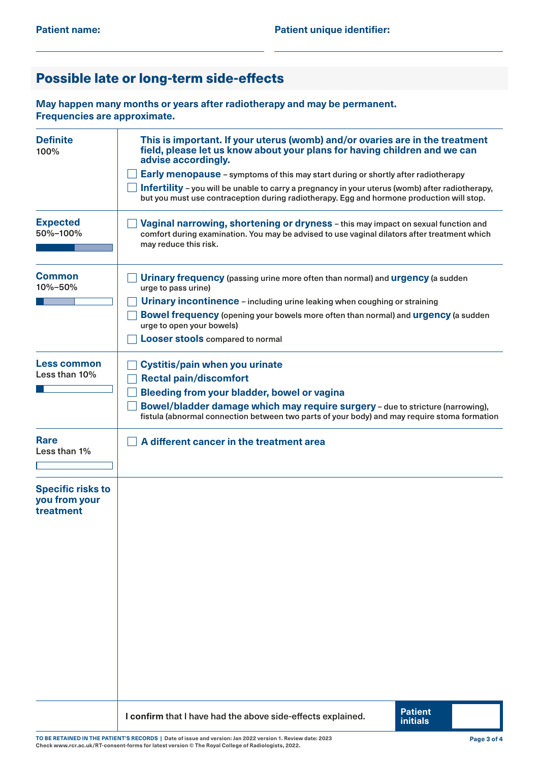## Possible late or long-term side-effects

**May happen many months or years after radiotherapy and may be permanent. Frequencies are approximate.**

| <b>Definite</b><br>100%                                | This is important. If your uterus (womb) and/or ovaries are in the treatment<br>field, please let us know about your plans for having children and we can<br>advise accordingly.                                                                                                                                                                               |  |  |  |  |
|--------------------------------------------------------|----------------------------------------------------------------------------------------------------------------------------------------------------------------------------------------------------------------------------------------------------------------------------------------------------------------------------------------------------------------|--|--|--|--|
|                                                        | Early menopause - symptoms of this may start during or shortly after radiotherapy<br>Infertility - you will be unable to carry a pregnancy in your uterus (womb) after radiotherapy,<br>but you must use contraception during radiotherapy. Egg and hormone production will stop.                                                                              |  |  |  |  |
| <b>Expected</b><br>50%-100%                            | Vaginal narrowing, shortening or dryness - this may impact on sexual function and<br>comfort during examination. You may be advised to use vaginal dilators after treatment which<br>may reduce this risk.                                                                                                                                                     |  |  |  |  |
| <b>Common</b><br>10%-50%                               | <b>Urinary frequency</b> (passing urine more often than normal) and <b>urgency</b> (a sudden<br>urge to pass urine)<br>Urinary incontinence - including urine leaking when coughing or straining<br>Bowel frequency (opening your bowels more often than normal) and urgency (a sudden<br>urge to open your bowels)<br><b>Looser stools compared to normal</b> |  |  |  |  |
| Less common<br>Less than 10%                           | <b>Cystitis/pain when you urinate</b><br><b>Rectal pain/discomfort</b><br>Bleeding from your bladder, bowel or vagina<br>Bowel/bladder damage which may require surgery - due to stricture (narrowing),<br>fistula (abnormal connection between two parts of your body) and may require stoma formation                                                        |  |  |  |  |
| <b>Rare</b><br>Less than 1%                            | A different cancer in the treatment area                                                                                                                                                                                                                                                                                                                       |  |  |  |  |
| <b>Specific risks to</b><br>you from your<br>treatment |                                                                                                                                                                                                                                                                                                                                                                |  |  |  |  |
|                                                        | <b>Patient</b><br>I confirm that I have had the above side-effects explained.<br><b>initials</b>                                                                                                                                                                                                                                                               |  |  |  |  |

**TO BE RETAINED IN THE PATIENT'S RECORDS | Date of issue and version: Jan 2022 version 1. Review date: 2023 Check [www.rcr.ac.uk/RT-consent-forms](http://www.rcr.ac.uk/RT-consent-forms) for latest version © The Royal College of Radiologists, 2022.**